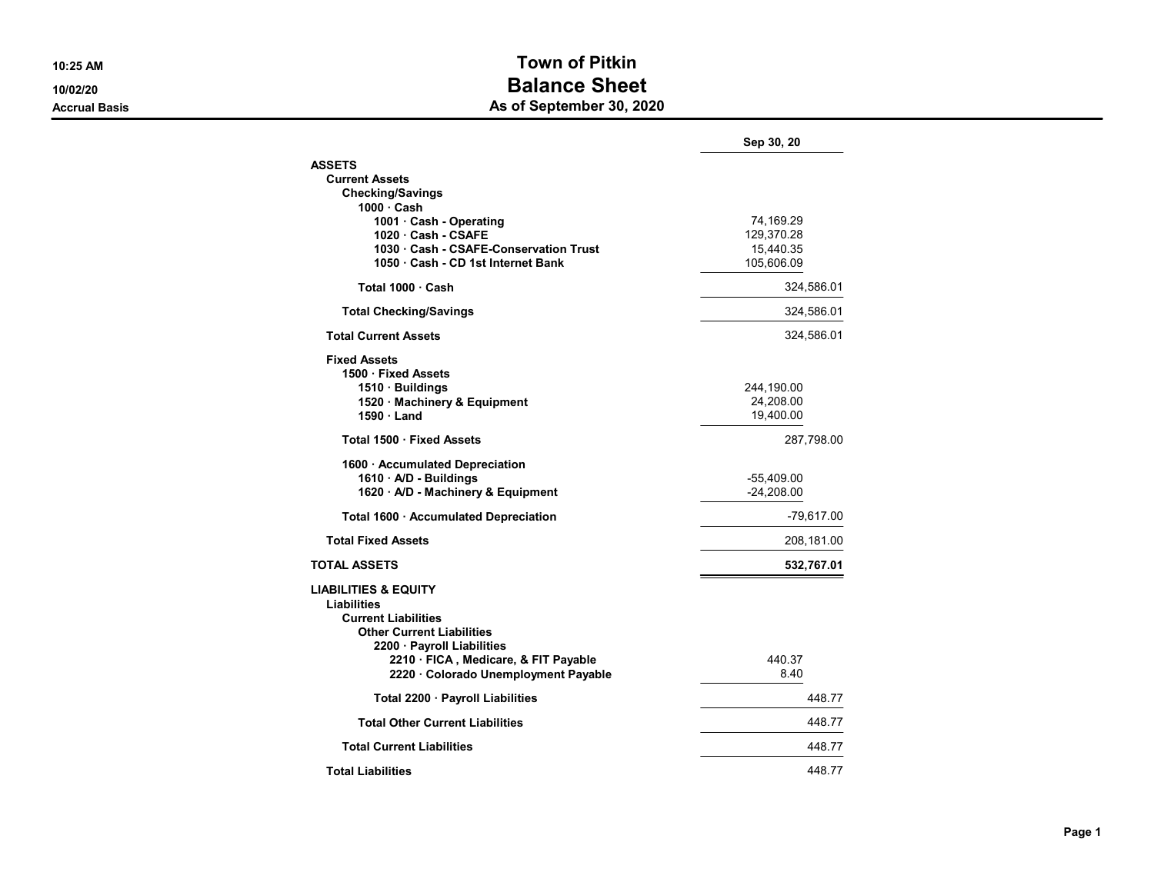## 10:25 AM Town of Pitkin 10/02/20 **Balance Sheet** Accrual Basis **Accrual Basis** As of September 30, 2020

|                                        | Sep 30, 20   |
|----------------------------------------|--------------|
| <b>ASSETS</b>                          |              |
| <b>Current Assets</b>                  |              |
| <b>Checking/Savings</b>                |              |
| $1000 \cdot$ Cash                      |              |
| 1001 · Cash - Operating                | 74,169.29    |
| 1020 Cash - CSAFE                      | 129,370.28   |
| 1030 Cash - CSAFE-Conservation Trust   | 15,440.35    |
| 1050 · Cash - CD 1st Internet Bank     | 105,606.09   |
| Total 1000 Cash                        | 324,586.01   |
| <b>Total Checking/Savings</b>          | 324,586.01   |
| <b>Total Current Assets</b>            | 324,586.01   |
| <b>Fixed Assets</b>                    |              |
| 1500 · Fixed Assets                    |              |
| 1510 · Buildings                       | 244,190.00   |
| 1520 · Machinery & Equipment           | 24,208.00    |
| 1590 Land                              | 19,400.00    |
| Total 1500 · Fixed Assets              | 287,798.00   |
| 1600 · Accumulated Depreciation        |              |
| 1610 · A/D - Buildings                 | -55,409.00   |
| 1620 · A/D - Machinery & Equipment     | $-24,208.00$ |
| Total 1600 · Accumulated Depreciation  | $-79,617.00$ |
| <b>Total Fixed Assets</b>              | 208,181.00   |
| <b>TOTAL ASSETS</b>                    | 532,767.01   |
|                                        |              |
| <b>LIABILITIES &amp; EQUITY</b>        |              |
| Liabilities                            |              |
| <b>Current Liabilities</b>             |              |
| <b>Other Current Liabilities</b>       |              |
| 2200 · Payroll Liabilities             |              |
| 2210 · FICA, Medicare, & FIT Payable   | 440.37       |
| 2220 · Colorado Unemployment Payable   | 8.40         |
| Total 2200 · Payroll Liabilities       | 448.77       |
| <b>Total Other Current Liabilities</b> | 448.77       |
| <b>Total Current Liabilities</b>       | 448.77       |
| <b>Total Liabilities</b>               | 448.77       |